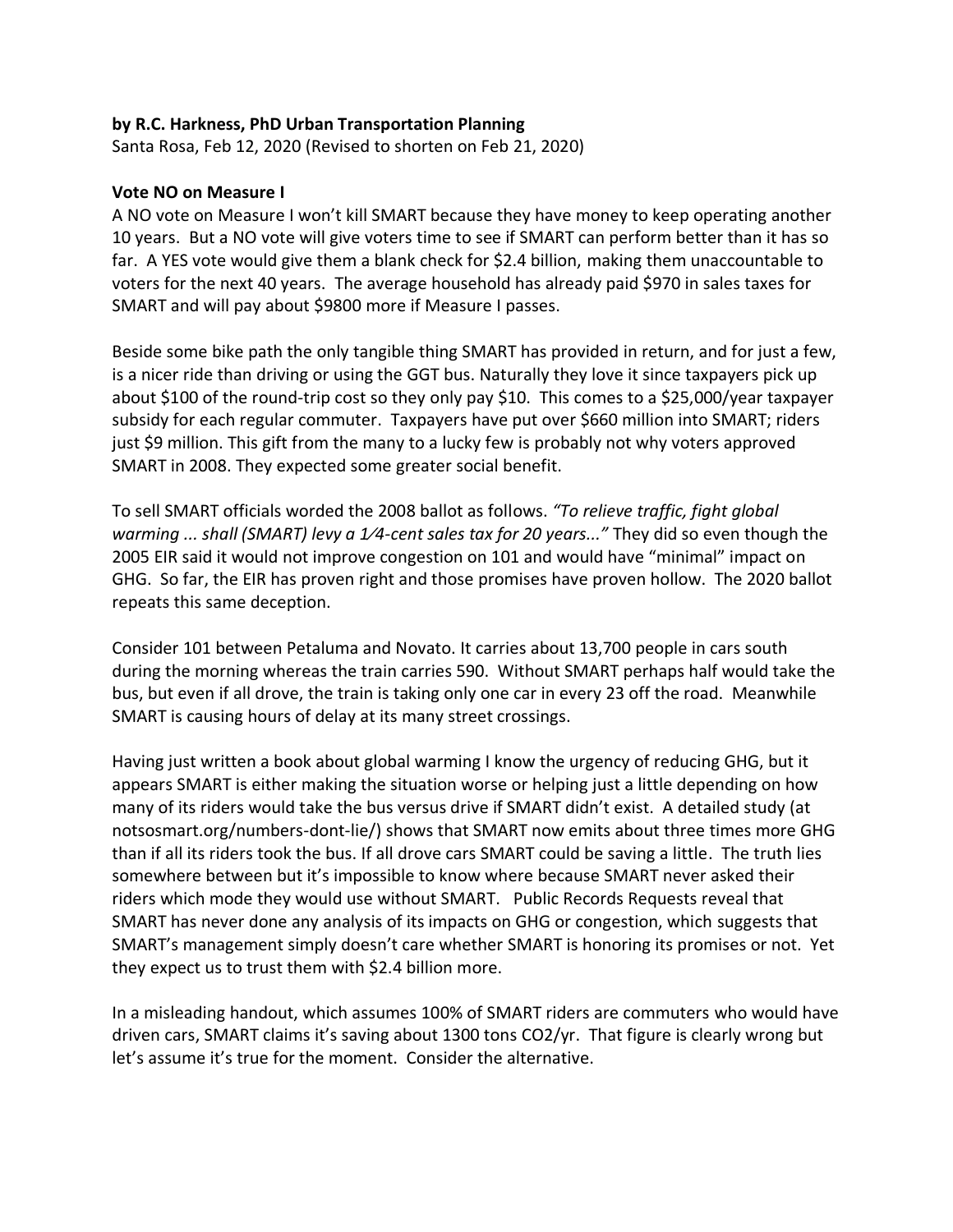## **by R.C. Harkness, PhD Urban Transportation Planning**

Santa Rosa, Feb 12, 2020 (Revised to shorten on Feb 21, 2020)

## **Vote NO on Measure I**

A NO vote on Measure I won't kill SMART because they have money to keep operating another 10 years. But a NO vote will give voters time to see if SMART can perform better than it has so far. A YES vote would give them a blank check for \$2.4 billion, making them unaccountable to voters for the next 40 years. The average household has already paid \$970 in sales taxes for SMART and will pay about \$9800 more if Measure I passes.

Beside some bike path the only tangible thing SMART has provided in return, and for just a few, is a nicer ride than driving or using the GGT bus. Naturally they love it since taxpayers pick up about \$100 of the round-trip cost so they only pay \$10. This comes to a \$25,000/year taxpayer subsidy for each regular commuter. Taxpayers have put over \$660 million into SMART; riders just \$9 million. This gift from the many to a lucky few is probably not why voters approved SMART in 2008. They expected some greater social benefit.

To sell SMART officials worded the 2008 ballot as follows. *"To relieve traffic, fight global warming ... shall (SMART) levy a 1⁄4-cent sales tax for 20 years..."* They did so even though the 2005 EIR said it would not improve congestion on 101 and would have "minimal" impact on GHG. So far, the EIR has proven right and those promises have proven hollow. The 2020 ballot repeats this same deception.

Consider 101 between Petaluma and Novato. It carries about 13,700 people in cars south during the morning whereas the train carries 590. Without SMART perhaps half would take the bus, but even if all drove, the train is taking only one car in every 23 off the road. Meanwhile SMART is causing hours of delay at its many street crossings.

Having just written a book about global warming I know the urgency of reducing GHG, but it appears SMART is either making the situation worse or helping just a little depending on how many of its riders would take the bus versus drive if SMART didn't exist. A detailed study (at notsosmart.org/numbers-dont-lie/) shows that SMART now emits about three times more GHG than if all its riders took the bus. If all drove cars SMART could be saving a little. The truth lies somewhere between but it's impossible to know where because SMART never asked their riders which mode they would use without SMART. Public Records Requests reveal that SMART has never done any analysis of its impacts on GHG or congestion, which suggests that SMART's management simply doesn't care whether SMART is honoring its promises or not. Yet they expect us to trust them with \$2.4 billion more.

In a misleading handout, which assumes 100% of SMART riders are commuters who would have driven cars, SMART claims it's saving about 1300 tons CO2/yr. That figure is clearly wrong but let's assume it's true for the moment. Consider the alternative.